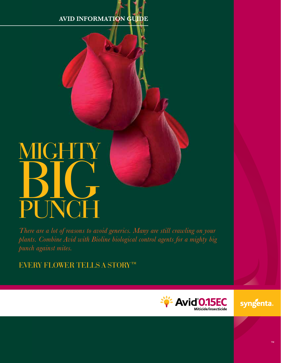# **AVID INFORMATION GUIDE**

# MIGH BIG H PUNCH

*There are a lot of reasons to avoid generics. Many are still crawling on your plants. Combine Avid with Bioline biological control agents for a mighty big punch against mites.*

EVERY FLOWER TELLS A STORY™



syngenta.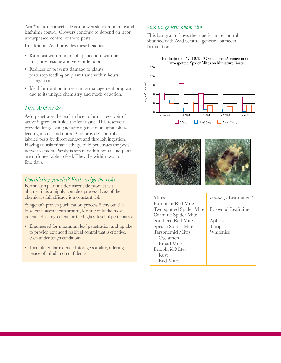Avid® miticide/insecticide is a proven standard in mite and leafminer control. Growers continue to depend on it for unsurpassed control of these pests.

In addition, Avid provides these benefits:

- Rain-fast within hours of application, with no unsightly residue and very little odor.
- Reduces or prevents damage to plants pests stop feeding on plant tissue within hours of ingestion.
- Ideal for rotation in resistance management programs due to its unique chemistry and mode of action.

#### *How Avid works*

Avid penetrates the leaf surface to form a reservoir of active ingredient inside the leaf tissue. This reservoir provides long-lasting activity against damaging foliarfeeding insects and mites. Avid provides control of labeled pests by direct contact and through ingestion. Having translaminar activity, Avid penetrates the pests' nerve receptors. Paralysis sets in within hours, and pests are no longer able to feed. They die within two to four days.

#### *Considering generics? First, weigh the risks.*

Formulating a miticide/insecticide product with abamectin is a highly complex process. Loss of the chemical's full efficacy is a constant risk.

Syngenta's proven purification process filters out the less-active avermectin strains, leaving only the most potent active ingredient for the highest level of pest control.

- Engineered for maximum leaf penetration and uptake to provide extended residual control that is effective, even under tough conditions.
- Formulated for extended storage stability, offering peace of mind and confidence.

#### *Avid vs. generic abamectin*

This bar graph shows the superior mite control obtained with Avid versus a generic abamectin formulation.





| Mites: <sup>1</sup>            | <i>Liriomyza</i> Leafminers <sup>2</sup> |
|--------------------------------|------------------------------------------|
| European Red Mite              |                                          |
| <b>Two-spotted Spider Mite</b> | Boxwood Leafminer                        |
| Carmine Spider Mite            |                                          |
| Southern Red Mite              | Aphids                                   |
| Spruce Spider Mite             | Thrips                                   |
| Tarsonemid Mites: <sup>3</sup> | Whiteflies                               |
| Cyclamen                       |                                          |
| <b>Broad Mites</b>             |                                          |
| <b>Eriophyid Mites:</b>        |                                          |
| Rust                           |                                          |
| <b>Bud Mites</b>               |                                          |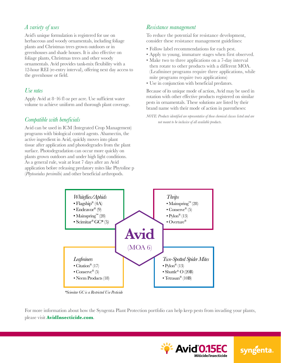## *A variety of uses*

Avid's unique formulation is registered for use on herbaceous and woody ornamentals, including foliage plants and Christmas trees grown outdoors or in greenhouses and shade houses. It is also effective on foliage plants, Christmas trees and other woody ornamentals. Avid provides tank-mix flexibility with a 12-hour REI (re-entry interval), offering next day access to the greenhouse or field.

#### *Use rates*

Apply Avid at 8–16 fl oz per acre. Use sufficient water volume to achieve uniform and thorough plant coverage.

#### *Compatible with beneficials*

Avid can be used in ICM (Integrated Crop Management) programs with biological control agents. Abamectin, the active ingredient in Avid, quickly moves into plant tissue after application and photodegrades from the plant surface. Photodegradation can occur more quickly on plants grown outdoors and under high light conditions. As a general rule, wait at least 7 days after an Avid application before releasing predatory mites like Phytoline p (*Phytoseiulus persimili*s) and other beneficial arthropods.

## *Resistance management*

To reduce the potential for resistance development, consider these resistance management guidelines:

- Follow label recommendations for each pest.
- Apply to young, immature stages when first observed.
- Make two to three applications on a 7-day interval then rotate to other products with a different MOA. (Leafminer programs require three applications, while mite programs require two applications)
- Use in conjunction with beneficial predators.

Because of its unique mode of action, Avid may be used in rotation with other effective products registered on similar pests in ornamentals. These solutions are listed by their brand name with their mode of action in parentheses:

*NOTE: Products identified are representative of those chemical classes listed and are not meant to be inclusive of all available products.*



*\*Scimitar GC is a Restricted Use Pesticide*

For more information about how the Syngenta Plant Protection portfolio can help keep pests from invading your plants, please visit **AvidInsecticide.com**.